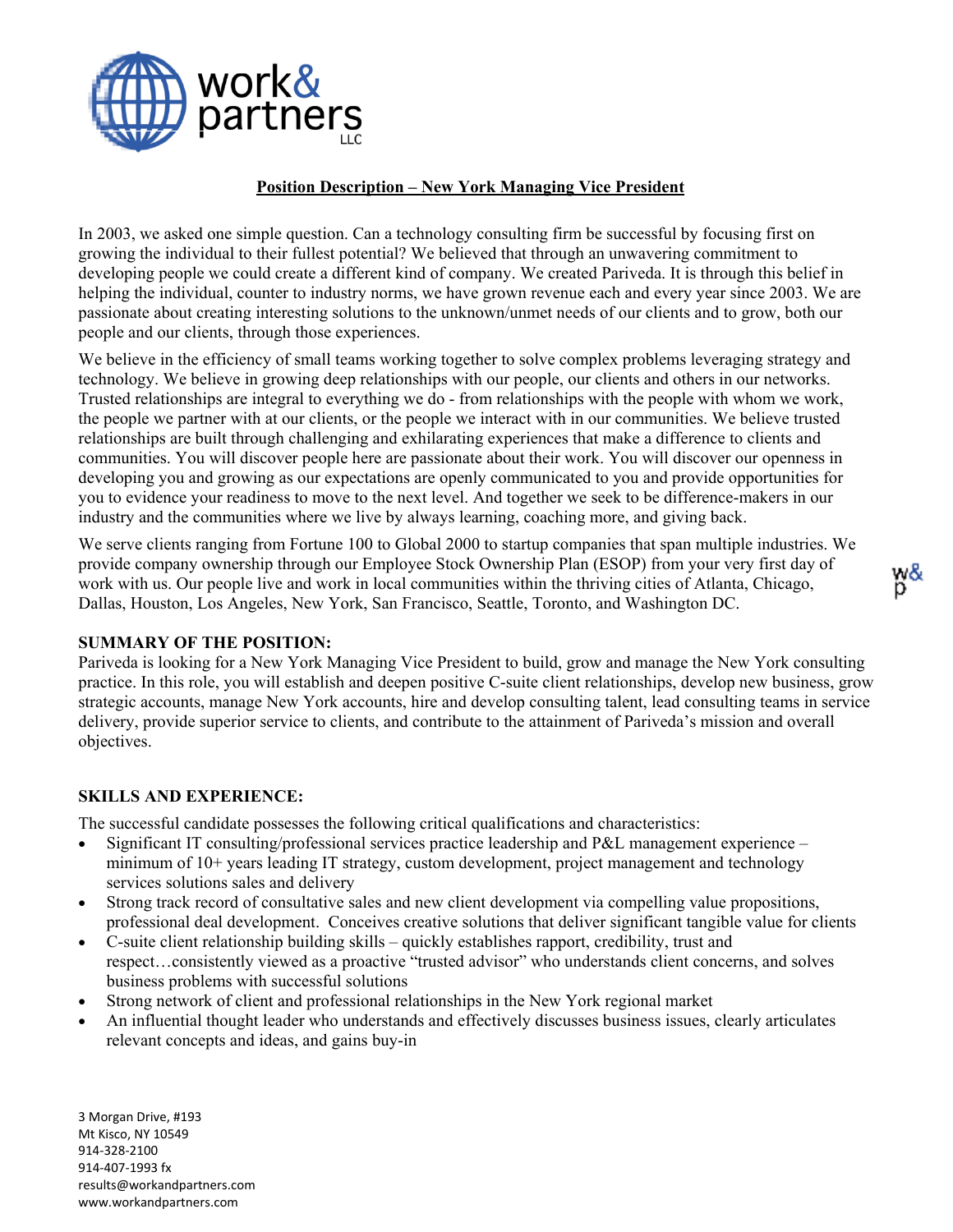

## **Position Description – New York Managing Vice President**

In 2003, we asked one simple question. Can a technology consulting firm be successful by focusing first on growing the individual to their fullest potential? We believed that through an unwavering commitment to developing people we could create a different kind of company. We created Pariveda. It is through this belief in helping the individual, counter to industry norms, we have grown revenue each and every year since 2003. We are passionate about creating interesting solutions to the unknown/unmet needs of our clients and to grow, both our people and our clients, through those experiences.

We believe in the efficiency of small teams working together to solve complex problems leveraging strategy and technology. We believe in growing deep relationships with our people, our clients and others in our networks. Trusted relationships are integral to everything we do - from relationships with the people with whom we work, the people we partner with at our clients, or the people we interact with in our communities. We believe trusted relationships are built through challenging and exhilarating experiences that make a difference to clients and communities. You will discover people here are passionate about their work. You will discover our openness in developing you and growing as our expectations are openly communicated to you and provide opportunities for you to evidence your readiness to move to the next level. And together we seek to be difference-makers in our industry and the communities where we live by always learning, coaching more, and giving back.

We serve clients ranging from Fortune 100 to Global 2000 to startup companies that span multiple industries. We provide company ownership through our Employee Stock Ownership Plan (ESOP) from your very first day of work with us. Our people live and work in local communities within the thriving cities of Atlanta, Chicago, Dallas, Houston, Los Angeles, New York, San Francisco, Seattle, Toronto, and Washington DC.

### **SUMMARY OF THE POSITION:**

Pariveda is looking for a New York Managing Vice President to build, grow and manage the New York consulting practice. In this role, you will establish and deepen positive C-suite client relationships, develop new business, grow strategic accounts, manage New York accounts, hire and develop consulting talent, lead consulting teams in service delivery, provide superior service to clients, and contribute to the attainment of Pariveda's mission and overall objectives.

### **SKILLS AND EXPERIENCE:**

The successful candidate possesses the following critical qualifications and characteristics:

- Significant IT consulting/professional services practice leadership and P&L management experience minimum of 10+ years leading IT strategy, custom development, project management and technology services solutions sales and delivery
- Strong track record of consultative sales and new client development via compelling value propositions, professional deal development. Conceives creative solutions that deliver significant tangible value for clients
- C-suite client relationship building skills quickly establishes rapport, credibility, trust and respect…consistently viewed as a proactive "trusted advisor" who understands client concerns, and solves business problems with successful solutions
- Strong network of client and professional relationships in the New York regional market
- An influential thought leader who understands and effectively discusses business issues, clearly articulates relevant concepts and ideas, and gains buy-in

3 Morgan Drive, #193 Mt Kisco, NY 10549 914-328-2100 914-407-1993 fx [results@workandpartners.com](mailto:results@workandpartners.com) www.workandpartners.com